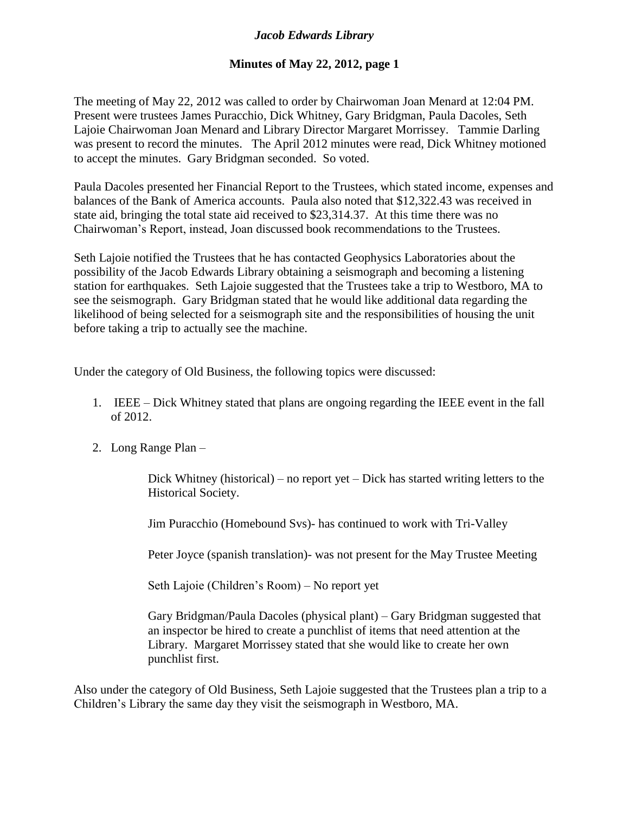## *Jacob Edwards Library*

## **Minutes of May 22, 2012, page 1**

The meeting of May 22, 2012 was called to order by Chairwoman Joan Menard at 12:04 PM. Present were trustees James Puracchio, Dick Whitney, Gary Bridgman, Paula Dacoles, Seth Lajoie Chairwoman Joan Menard and Library Director Margaret Morrissey. Tammie Darling was present to record the minutes. The April 2012 minutes were read, Dick Whitney motioned to accept the minutes. Gary Bridgman seconded. So voted.

Paula Dacoles presented her Financial Report to the Trustees, which stated income, expenses and balances of the Bank of America accounts. Paula also noted that \$12,322.43 was received in state aid, bringing the total state aid received to \$23,314.37. At this time there was no Chairwoman's Report, instead, Joan discussed book recommendations to the Trustees.

Seth Lajoie notified the Trustees that he has contacted Geophysics Laboratories about the possibility of the Jacob Edwards Library obtaining a seismograph and becoming a listening station for earthquakes. Seth Lajoie suggested that the Trustees take a trip to Westboro, MA to see the seismograph. Gary Bridgman stated that he would like additional data regarding the likelihood of being selected for a seismograph site and the responsibilities of housing the unit before taking a trip to actually see the machine.

Under the category of Old Business, the following topics were discussed:

- 1. IEEE Dick Whitney stated that plans are ongoing regarding the IEEE event in the fall of 2012.
- 2. Long Range Plan –

Dick Whitney (historical) – no report yet – Dick has started writing letters to the Historical Society.

Jim Puracchio (Homebound Svs)- has continued to work with Tri-Valley

Peter Joyce (spanish translation)- was not present for the May Trustee Meeting

Seth Lajoie (Children's Room) – No report yet

Gary Bridgman/Paula Dacoles (physical plant) – Gary Bridgman suggested that an inspector be hired to create a punchlist of items that need attention at the Library. Margaret Morrissey stated that she would like to create her own punchlist first.

Also under the category of Old Business, Seth Lajoie suggested that the Trustees plan a trip to a Children's Library the same day they visit the seismograph in Westboro, MA.